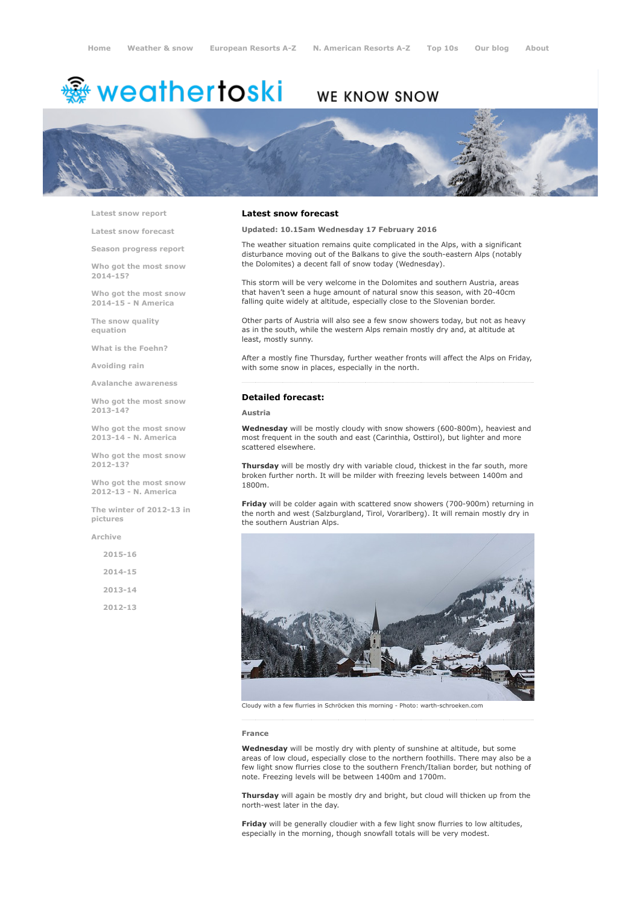# <sup>霧</sup> weathertoski

# WE KNOW SNOW



Latest snow [report](http://www.weathertoski.co.uk/weather-snow/latest-snow-report/)

Latest snow [forecast](http://www.weathertoski.co.uk/weather-snow/latest-snow-forecast/)

Season [progress](http://www.weathertoski.co.uk/weather-snow/season-progress-report/) report

Who got the most snow 2014-15?

Who got the most snow 2014-15 - N America

The snow quality [equation](http://www.weathertoski.co.uk/weather-snow/the-snow-quality-equation/)

What is the [Foehn?](http://www.weathertoski.co.uk/weather-snow/what-is-the-foehn/)

[Avoiding](http://www.weathertoski.co.uk/weather-snow/avoiding-rain/) rain

Avalanche [awareness](http://www.weathertoski.co.uk/weather-snow/avalanche-awareness/)

Who got the most snow 2013-14?

Who got the most snow 2013-14 - N. America

Who got the most snow 2012-13?

Who got the most snow 2012-13 - N. America

The winter of 2012-13 in pictures

[Archive](http://www.weathertoski.co.uk/weather-snow/archive/)

2015-16 2014-15 2013-14

2012-13

### Latest snow forecast

Updated: 10.15am Wednesday 17 February 2016

The weather situation remains quite complicated in the Alps, with a significant disturbance moving out of the Balkans to give the south-eastern Alps (notably the Dolomites) a decent fall of snow today (Wednesday).

This storm will be very welcome in the Dolomites and southern Austria, areas that haven't seen a huge amount of natural snow this season, with 20-40cm falling quite widely at altitude, especially close to the Slovenian border.

Other parts of Austria will also see a few snow showers today, but not as heavy as in the south, while the western Alps remain mostly dry and, at altitude at least, mostly sunny.

After a mostly fine Thursday, further weather fronts will affect the Alps on Friday, with some snow in places, especially in the north.

## Detailed forecast:

#### Austria

Wednesday will be mostly cloudy with snow showers (600-800m), heaviest and most frequent in the south and east (Carinthia, Osttirol), but lighter and more scattered elsewhere.

Thursday will be mostly dry with variable cloud, thickest in the far south, more broken further north. It will be milder with freezing levels between 1400m and 1800m.

Friday will be colder again with scattered snow showers (700-900m) returning in the north and west (Salzburgland, Tirol, Vorarlberg). It will remain mostly dry in the southern Austrian Alps.



Cloudy with a few flurries in Schröcken this morning - Photo: warth-schroeken.com

#### France

Wednesday will be mostly dry with plenty of sunshine at altitude, but some areas of low cloud, especially close to the northern foothills. There may also be a few light snow flurries close to the southern French/Italian border, but nothing of note. Freezing levels will be between 1400m and 1700m.

Thursday will again be mostly dry and bright, but cloud will thicken up from the north-west later in the day.

Friday will be generally cloudier with a few light snow flurries to low altitudes, especially in the morning, though snowfall totals will be very modest.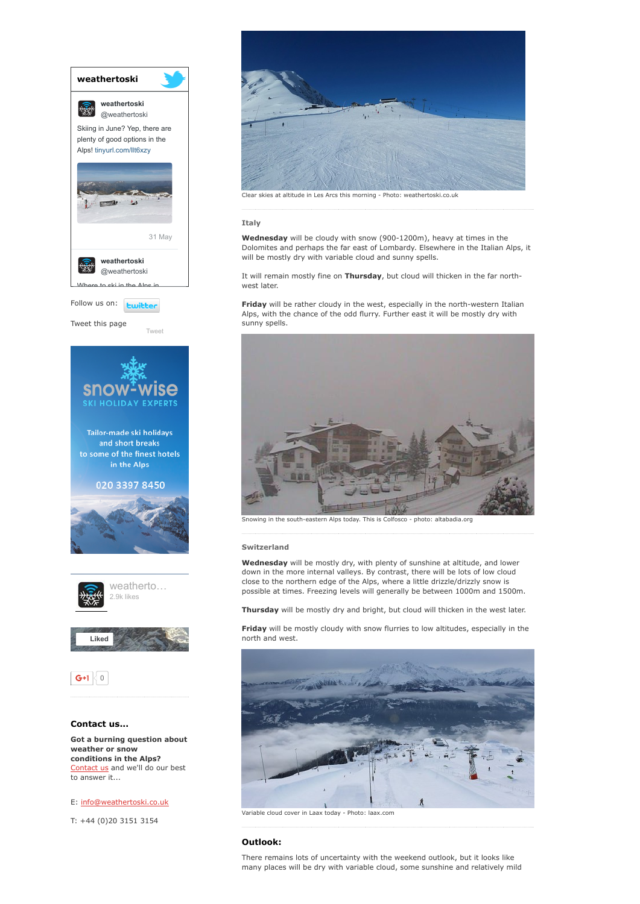

# E: [info@weathertoski.co.uk](mailto:fraser@weathertoski.co.uk)

T: +44 (0)20 3151 3154



Clear skies at altitude in Les Arcs this morning - Photo: weathertoski.co.uk

#### Italy

Wednesday will be cloudy with snow (900-1200m), heavy at times in the Dolomites and perhaps the far east of Lombardy. Elsewhere in the Italian Alps, it will be mostly dry with variable cloud and sunny spells.

It will remain mostly fine on Thursday, but cloud will thicken in the far northwest later.

Friday will be rather cloudy in the west, especially in the north-western Italian Alps, with the chance of the odd flurry. Further east it will be mostly dry with sunny spells.



Snowing in the south-eastern Alps today. This is Colfosco - photo: altabadia.org

#### Switzerland

Wednesday will be mostly dry, with plenty of sunshine at altitude, and lower down in the more internal valleys. By contrast, there will be lots of low cloud close to the northern edge of the Alps, where a little drizzle/drizzly snow is possible at times. Freezing levels will generally be between 1000m and 1500m.

Thursday will be mostly dry and bright, but cloud will thicken in the west later.

Friday will be mostly cloudy with snow flurries to low altitudes, especially in the north and west.



Variable cloud cover in Laax today Photo: laax.com

#### Outlook:

There remains lots of uncertainty with the weekend outlook, but it looks like many places will be dry with variable cloud, some sunshine and relatively mild